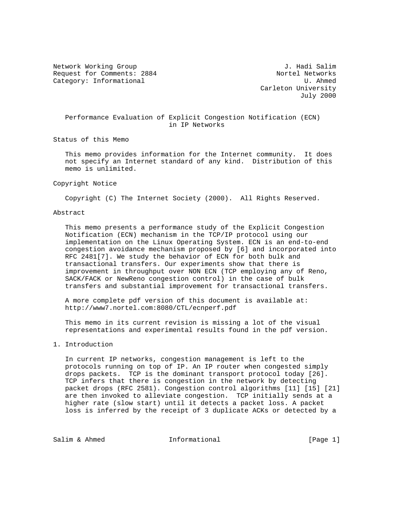Network Working Group and Alliance of the U.S. Hadi Salim Request for Comments: 2884 Nortel Networks Category: Informational and U. Ahmed

 Carleton University July 2000

# Performance Evaluation of Explicit Congestion Notification (ECN) in IP Networks

Status of this Memo

 This memo provides information for the Internet community. It does not specify an Internet standard of any kind. Distribution of this memo is unlimited.

#### Copyright Notice

Copyright (C) The Internet Society (2000). All Rights Reserved.

## Abstract

 This memo presents a performance study of the Explicit Congestion Notification (ECN) mechanism in the TCP/IP protocol using our implementation on the Linux Operating System. ECN is an end-to-end congestion avoidance mechanism proposed by [6] and incorporated into RFC 2481[7]. We study the behavior of ECN for both bulk and transactional transfers. Our experiments show that there is improvement in throughput over NON ECN (TCP employing any of Reno, SACK/FACK or NewReno congestion control) in the case of bulk transfers and substantial improvement for transactional transfers.

 A more complete pdf version of this document is available at: http://www7.nortel.com:8080/CTL/ecnperf.pdf

 This memo in its current revision is missing a lot of the visual representations and experimental results found in the pdf version.

## 1. Introduction

 In current IP networks, congestion management is left to the protocols running on top of IP. An IP router when congested simply drops packets. TCP is the dominant transport protocol today [26]. TCP infers that there is congestion in the network by detecting packet drops (RFC 2581). Congestion control algorithms [11] [15] [21] are then invoked to alleviate congestion. TCP initially sends at a higher rate (slow start) until it detects a packet loss. A packet loss is inferred by the receipt of 3 duplicate ACKs or detected by a

Salim & Ahmed **Informational** [Page 1]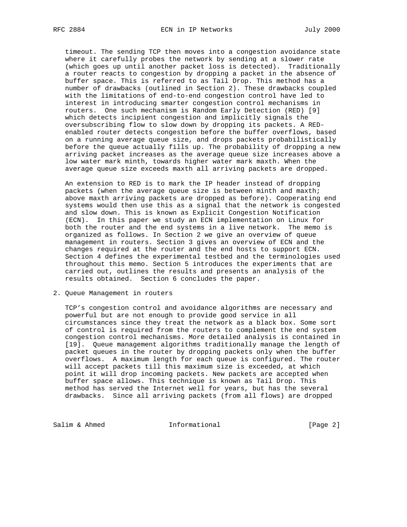timeout. The sending TCP then moves into a congestion avoidance state where it carefully probes the network by sending at a slower rate (which goes up until another packet loss is detected). Traditionally a router reacts to congestion by dropping a packet in the absence of buffer space. This is referred to as Tail Drop. This method has a number of drawbacks (outlined in Section 2). These drawbacks coupled with the limitations of end-to-end congestion control have led to interest in introducing smarter congestion control mechanisms in routers. One such mechanism is Random Early Detection (RED) [9] which detects incipient congestion and implicitly signals the oversubscribing flow to slow down by dropping its packets. A RED enabled router detects congestion before the buffer overflows, based on a running average queue size, and drops packets probabilistically before the queue actually fills up. The probability of dropping a new arriving packet increases as the average queue size increases above a low water mark minth, towards higher water mark maxth. When the average queue size exceeds maxth all arriving packets are dropped.

 An extension to RED is to mark the IP header instead of dropping packets (when the average queue size is between minth and maxth; above maxth arriving packets are dropped as before). Cooperating end systems would then use this as a signal that the network is congested and slow down. This is known as Explicit Congestion Notification (ECN). In this paper we study an ECN implementation on Linux for both the router and the end systems in a live network. The memo is organized as follows. In Section 2 we give an overview of queue management in routers. Section 3 gives an overview of ECN and the changes required at the router and the end hosts to support ECN. Section 4 defines the experimental testbed and the terminologies used throughout this memo. Section 5 introduces the experiments that are carried out, outlines the results and presents an analysis of the results obtained. Section 6 concludes the paper.

2. Queue Management in routers

 TCP's congestion control and avoidance algorithms are necessary and powerful but are not enough to provide good service in all circumstances since they treat the network as a black box. Some sort of control is required from the routers to complement the end system congestion control mechanisms. More detailed analysis is contained in [19]. Queue management algorithms traditionally manage the length of packet queues in the router by dropping packets only when the buffer overflows. A maximum length for each queue is configured. The router will accept packets till this maximum size is exceeded, at which point it will drop incoming packets. New packets are accepted when buffer space allows. This technique is known as Tail Drop. This method has served the Internet well for years, but has the several drawbacks. Since all arriving packets (from all flows) are dropped

Salim & Ahmed **Informational** [Page 2]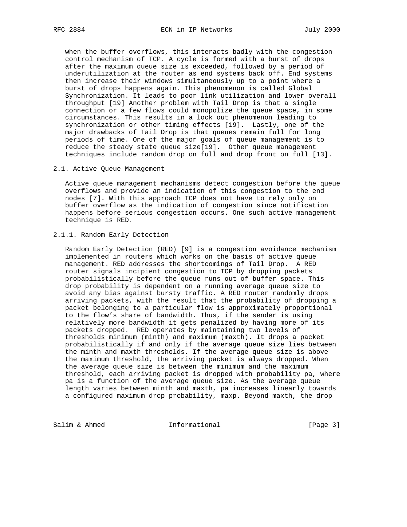when the buffer overflows, this interacts badly with the congestion control mechanism of TCP. A cycle is formed with a burst of drops after the maximum queue size is exceeded, followed by a period of underutilization at the router as end systems back off. End systems then increase their windows simultaneously up to a point where a burst of drops happens again. This phenomenon is called Global Synchronization. It leads to poor link utilization and lower overall throughput [19] Another problem with Tail Drop is that a single connection or a few flows could monopolize the queue space, in some circumstances. This results in a lock out phenomenon leading to synchronization or other timing effects [19]. Lastly, one of the major drawbacks of Tail Drop is that queues remain full for long periods of time. One of the major goals of queue management is to reduce the steady state queue size[19]. Other queue management techniques include random drop on full and drop front on full [13].

2.1. Active Queue Management

 Active queue management mechanisms detect congestion before the queue overflows and provide an indication of this congestion to the end nodes [7]. With this approach TCP does not have to rely only on buffer overflow as the indication of congestion since notification happens before serious congestion occurs. One such active management technique is RED.

# 2.1.1. Random Early Detection

 Random Early Detection (RED) [9] is a congestion avoidance mechanism implemented in routers which works on the basis of active queue management. RED addresses the shortcomings of Tail Drop. A RED router signals incipient congestion to TCP by dropping packets probabilistically before the queue runs out of buffer space. This drop probability is dependent on a running average queue size to avoid any bias against bursty traffic. A RED router randomly drops arriving packets, with the result that the probability of dropping a packet belonging to a particular flow is approximately proportional to the flow's share of bandwidth. Thus, if the sender is using relatively more bandwidth it gets penalized by having more of its packets dropped. RED operates by maintaining two levels of thresholds minimum (minth) and maximum (maxth). It drops a packet probabilistically if and only if the average queue size lies between the minth and maxth thresholds. If the average queue size is above the maximum threshold, the arriving packet is always dropped. When the average queue size is between the minimum and the maximum threshold, each arriving packet is dropped with probability pa, where pa is a function of the average queue size. As the average queue length varies between minth and maxth, pa increases linearly towards a configured maximum drop probability, maxp. Beyond maxth, the drop

Salim & Ahmed **Informational** [Page 3]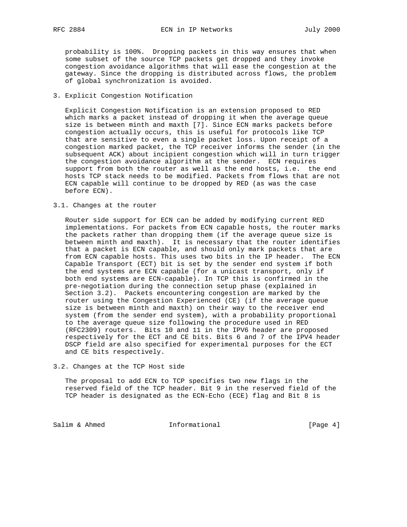probability is 100%. Dropping packets in this way ensures that when some subset of the source TCP packets get dropped and they invoke congestion avoidance algorithms that will ease the congestion at the gateway. Since the dropping is distributed across flows, the problem of global synchronization is avoided.

## 3. Explicit Congestion Notification

 Explicit Congestion Notification is an extension proposed to RED which marks a packet instead of dropping it when the average queue size is between minth and maxth [7]. Since ECN marks packets before congestion actually occurs, this is useful for protocols like TCP that are sensitive to even a single packet loss. Upon receipt of a congestion marked packet, the TCP receiver informs the sender (in the subsequent ACK) about incipient congestion which will in turn trigger the congestion avoidance algorithm at the sender. ECN requires support from both the router as well as the end hosts, i.e. the end hosts TCP stack needs to be modified. Packets from flows that are not ECN capable will continue to be dropped by RED (as was the case before ECN).

## 3.1. Changes at the router

 Router side support for ECN can be added by modifying current RED implementations. For packets from ECN capable hosts, the router marks the packets rather than dropping them (if the average queue size is between minth and maxth). It is necessary that the router identifies that a packet is ECN capable, and should only mark packets that are from ECN capable hosts. This uses two bits in the IP header. The ECN Capable Transport (ECT) bit is set by the sender end system if both the end systems are ECN capable (for a unicast transport, only if both end systems are ECN-capable). In TCP this is confirmed in the pre-negotiation during the connection setup phase (explained in Section 3.2). Packets encountering congestion are marked by the router using the Congestion Experienced (CE) (if the average queue size is between minth and maxth) on their way to the receiver end system (from the sender end system), with a probability proportional to the average queue size following the procedure used in RED (RFC2309) routers. Bits 10 and 11 in the IPV6 header are proposed respectively for the ECT and CE bits. Bits 6 and 7 of the IPV4 header DSCP field are also specified for experimental purposes for the ECT and CE bits respectively.

#### 3.2. Changes at the TCP Host side

 The proposal to add ECN to TCP specifies two new flags in the reserved field of the TCP header. Bit 9 in the reserved field of the TCP header is designated as the ECN-Echo (ECE) flag and Bit 8 is

Salim & Ahmed **Informational** [Page 4]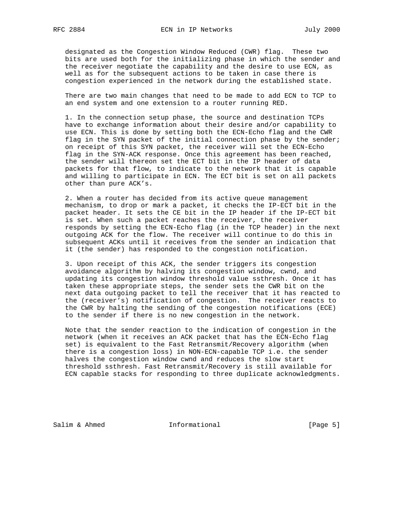designated as the Congestion Window Reduced (CWR) flag. These two bits are used both for the initializing phase in which the sender and the receiver negotiate the capability and the desire to use ECN, as well as for the subsequent actions to be taken in case there is congestion experienced in the network during the established state.

 There are two main changes that need to be made to add ECN to TCP to an end system and one extension to a router running RED.

 1. In the connection setup phase, the source and destination TCPs have to exchange information about their desire and/or capability to use ECN. This is done by setting both the ECN-Echo flag and the CWR flag in the SYN packet of the initial connection phase by the sender; on receipt of this SYN packet, the receiver will set the ECN-Echo flag in the SYN-ACK response. Once this agreement has been reached, the sender will thereon set the ECT bit in the IP header of data packets for that flow, to indicate to the network that it is capable and willing to participate in ECN. The ECT bit is set on all packets other than pure ACK's.

 2. When a router has decided from its active queue management mechanism, to drop or mark a packet, it checks the IP-ECT bit in the packet header. It sets the CE bit in the IP header if the IP-ECT bit is set. When such a packet reaches the receiver, the receiver responds by setting the ECN-Echo flag (in the TCP header) in the next outgoing ACK for the flow. The receiver will continue to do this in subsequent ACKs until it receives from the sender an indication that it (the sender) has responded to the congestion notification.

 3. Upon receipt of this ACK, the sender triggers its congestion avoidance algorithm by halving its congestion window, cwnd, and updating its congestion window threshold value ssthresh. Once it has taken these appropriate steps, the sender sets the CWR bit on the next data outgoing packet to tell the receiver that it has reacted to the (receiver's) notification of congestion. The receiver reacts to the CWR by halting the sending of the congestion notifications (ECE) to the sender if there is no new congestion in the network.

 Note that the sender reaction to the indication of congestion in the network (when it receives an ACK packet that has the ECN-Echo flag set) is equivalent to the Fast Retransmit/Recovery algorithm (when there is a congestion loss) in NON-ECN-capable TCP i.e. the sender halves the congestion window cwnd and reduces the slow start threshold ssthresh. Fast Retransmit/Recovery is still available for ECN capable stacks for responding to three duplicate acknowledgments.

Salim & Ahmed **Informational Informational** [Page 5]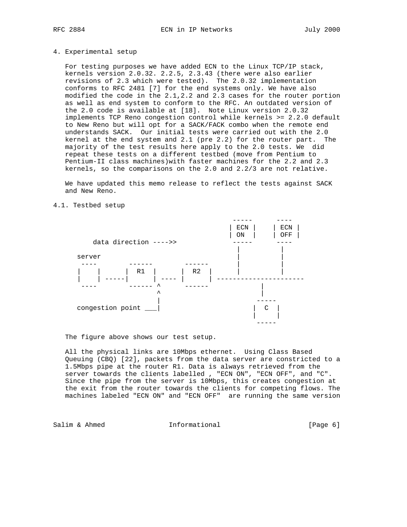#### 4. Experimental setup

 For testing purposes we have added ECN to the Linux TCP/IP stack, kernels version 2.0.32. 2.2.5, 2.3.43 (there were also earlier revisions of 2.3 which were tested). The 2.0.32 implementation conforms to RFC 2481 [7] for the end systems only. We have also modified the code in the 2.1,2.2 and 2.3 cases for the router portion as well as end system to conform to the RFC. An outdated version of the 2.0 code is available at [18]. Note Linux version 2.0.32 implements TCP Reno congestion control while kernels >= 2.2.0 default to New Reno but will opt for a SACK/FACK combo when the remote end understands SACK. Our initial tests were carried out with the 2.0 kernel at the end system and 2.1 (pre 2.2) for the router part. The majority of the test results here apply to the 2.0 tests. We did repeat these tests on a different testbed (move from Pentium to Pentium-II class machines)with faster machines for the 2.2 and 2.3 kernels, so the comparisons on the 2.0 and 2.2/3 are not relative.

 We have updated this memo release to reflect the tests against SACK and New Reno.



4.1. Testbed setup

The figure above shows our test setup.

 All the physical links are 10Mbps ethernet. Using Class Based Queuing (CBQ) [22], packets from the data server are constricted to a 1.5Mbps pipe at the router R1. Data is always retrieved from the server towards the clients labelled , "ECN ON", "ECN OFF", and "C". Since the pipe from the server is 10Mbps, this creates congestion at the exit from the router towards the clients for competing flows. The machines labeled "ECN ON" and "ECN OFF" are running the same version

Salim & Ahmed **Informational Informational** [Page 6]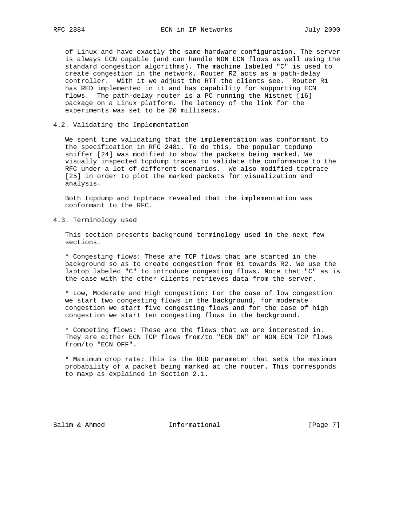of Linux and have exactly the same hardware configuration. The server is always ECN capable (and can handle NON ECN flows as well using the standard congestion algorithms). The machine labeled "C" is used to create congestion in the network. Router R2 acts as a path-delay controller. With it we adjust the RTT the clients see. Router R1 has RED implemented in it and has capability for supporting ECN flows. The path-delay router is a PC running the Nistnet [16] package on a Linux platform. The latency of the link for the experiments was set to be 20 millisecs.

4.2. Validating the Implementation

 We spent time validating that the implementation was conformant to the specification in RFC 2481. To do this, the popular tcpdump sniffer [24] was modified to show the packets being marked. We visually inspected tcpdump traces to validate the conformance to the RFC under a lot of different scenarios. We also modified tcptrace [25] in order to plot the marked packets for visualization and analysis.

 Both tcpdump and tcptrace revealed that the implementation was conformant to the RFC.

4.3. Terminology used

 This section presents background terminology used in the next few sections.

 \* Congesting flows: These are TCP flows that are started in the background so as to create congestion from R1 towards R2. We use the laptop labeled "C" to introduce congesting flows. Note that "C" as is the case with the other clients retrieves data from the server.

 \* Low, Moderate and High congestion: For the case of low congestion we start two congesting flows in the background, for moderate congestion we start five congesting flows and for the case of high congestion we start ten congesting flows in the background.

 \* Competing flows: These are the flows that we are interested in. They are either ECN TCP flows from/to "ECN ON" or NON ECN TCP flows from/to "ECN OFF".

 \* Maximum drop rate: This is the RED parameter that sets the maximum probability of a packet being marked at the router. This corresponds to maxp as explained in Section 2.1.

Salim & Ahmed **Informational Informational** [Page 7]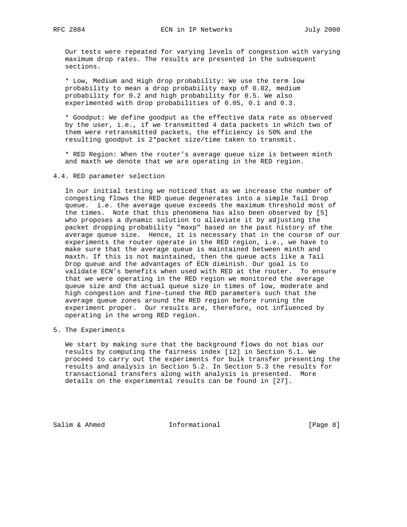Our tests were repeated for varying levels of congestion with varying maximum drop rates. The results are presented in the subsequent sections.

 \* Low, Medium and High drop probability: We use the term low probability to mean a drop probability maxp of 0.02, medium probability for 0.2 and high probability for 0.5. We also experimented with drop probabilities of 0.05, 0.1 and 0.3.

 \* Goodput: We define goodput as the effective data rate as observed by the user, i.e., if we transmitted 4 data packets in which two of them were retransmitted packets, the efficiency is 50% and the resulting goodput is 2\*packet size/time taken to transmit.

 \* RED Region: When the router's average queue size is between minth and maxth we denote that we are operating in the RED region.

## 4.4. RED parameter selection

 In our initial testing we noticed that as we increase the number of congesting flows the RED queue degenerates into a simple Tail Drop queue. i.e. the average queue exceeds the maximum threshold most of the times. Note that this phenomena has also been observed by [5] who proposes a dynamic solution to alleviate it by adjusting the packet dropping probability "maxp" based on the past history of the average queue size. Hence, it is necessary that in the course of our experiments the router operate in the RED region, i.e., we have to make sure that the average queue is maintained between minth and maxth. If this is not maintained, then the queue acts like a Tail Drop queue and the advantages of ECN diminish. Our goal is to validate ECN's benefits when used with RED at the router. To ensure that we were operating in the RED region we monitored the average queue size and the actual queue size in times of low, moderate and high congestion and fine-tuned the RED parameters such that the average queue zones around the RED region before running the experiment proper. Our results are, therefore, not influenced by operating in the wrong RED region.

5. The Experiments

 We start by making sure that the background flows do not bias our results by computing the fairness index [12] in Section 5.1. We proceed to carry out the experiments for bulk transfer presenting the results and analysis in Section 5.2. In Section 5.3 the results for transactional transfers along with analysis is presented. More details on the experimental results can be found in [27].

Salim & Ahmed **Informational Informational** [Page 8]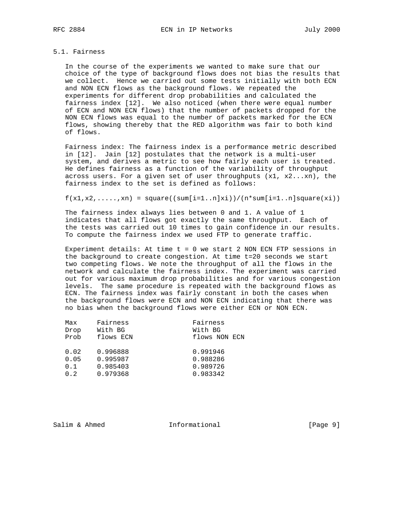## 5.1. Fairness

 In the course of the experiments we wanted to make sure that our choice of the type of background flows does not bias the results that we collect. Hence we carried out some tests initially with both ECN and NON ECN flows as the background flows. We repeated the experiments for different drop probabilities and calculated the fairness index [12]. We also noticed (when there were equal number of ECN and NON ECN flows) that the number of packets dropped for the NON ECN flows was equal to the number of packets marked for the ECN flows, showing thereby that the RED algorithm was fair to both kind of flows.

 Fairness index: The fairness index is a performance metric described in [12]. Jain [12] postulates that the network is a multi-user system, and derives a metric to see how fairly each user is treated. He defines fairness as a function of the variability of throughput across users. For a given set of user throughputs  $(x1, x2...xn)$ , the fairness index to the set is defined as follows:

 $f(x1,x2,......,xn) = square((sum[i=1..n]xi))/(n*sum[i=1..n]square(xi))$ 

 The fairness index always lies between 0 and 1. A value of 1 indicates that all flows got exactly the same throughput. Each of the tests was carried out 10 times to gain confidence in our results. To compute the fairness index we used FTP to generate traffic.

 Experiment details: At time t = 0 we start 2 NON ECN FTP sessions in the background to create congestion. At time t=20 seconds we start two competing flows. We note the throughput of all the flows in the network and calculate the fairness index. The experiment was carried out for various maximum drop probabilities and for various congestion levels. The same procedure is repeated with the background flows as ECN. The fairness index was fairly constant in both the cases when the background flows were ECN and NON ECN indicating that there was no bias when the background flows were either ECN or NON ECN.

| Max  | Fairness  | Fairness      |
|------|-----------|---------------|
| Drop | With BG   | With BG       |
| Prob | flows ECN | flows NON ECN |
| 0.02 | 0.996888  | 0.991946      |
| 0.05 | 0.995987  | 0.988286      |
| 0.1  | 0.985403  | 0.989726      |
| 0.2  | 0.979368  | 0.983342      |

Salim & Ahmed **Informational Informational** [Page 9]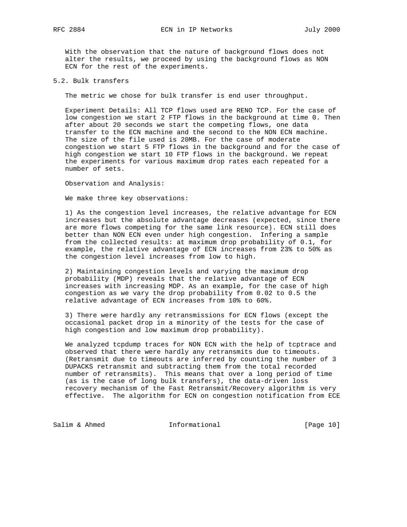With the observation that the nature of background flows does not alter the results, we proceed by using the background flows as NON ECN for the rest of the experiments.

5.2. Bulk transfers

The metric we chose for bulk transfer is end user throughput.

 Experiment Details: All TCP flows used are RENO TCP. For the case of low congestion we start 2 FTP flows in the background at time 0. Then after about 20 seconds we start the competing flows, one data transfer to the ECN machine and the second to the NON ECN machine. The size of the file used is 20MB. For the case of moderate congestion we start 5 FTP flows in the background and for the case of high congestion we start 10 FTP flows in the background. We repeat the experiments for various maximum drop rates each repeated for a number of sets.

Observation and Analysis:

We make three key observations:

 1) As the congestion level increases, the relative advantage for ECN increases but the absolute advantage decreases (expected, since there are more flows competing for the same link resource). ECN still does better than NON ECN even under high congestion. Infering a sample from the collected results: at maximum drop probability of 0.1, for example, the relative advantage of ECN increases from 23% to 50% as the congestion level increases from low to high.

 2) Maintaining congestion levels and varying the maximum drop probability (MDP) reveals that the relative advantage of ECN increases with increasing MDP. As an example, for the case of high congestion as we vary the drop probability from 0.02 to 0.5 the relative advantage of ECN increases from 10% to 60%.

 3) There were hardly any retransmissions for ECN flows (except the occasional packet drop in a minority of the tests for the case of high congestion and low maximum drop probability).

 We analyzed tcpdump traces for NON ECN with the help of tcptrace and observed that there were hardly any retransmits due to timeouts. (Retransmit due to timeouts are inferred by counting the number of 3 DUPACKS retransmit and subtracting them from the total recorded number of retransmits). This means that over a long period of time (as is the case of long bulk transfers), the data-driven loss recovery mechanism of the Fast Retransmit/Recovery algorithm is very effective. The algorithm for ECN on congestion notification from ECE

Salim & Ahmed **Informational** [Page 10]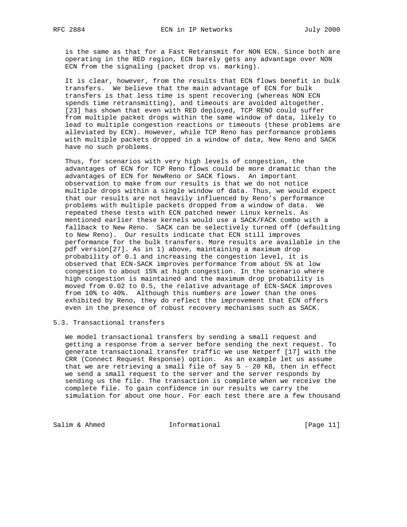is the same as that for a Fast Retransmit for NON ECN. Since both are operating in the RED region, ECN barely gets any advantage over NON ECN from the signaling (packet drop vs. marking).

 It is clear, however, from the results that ECN flows benefit in bulk transfers. We believe that the main advantage of ECN for bulk transfers is that less time is spent recovering (whereas NON ECN spends time retransmitting), and timeouts are avoided altogether. [23] has shown that even with RED deployed, TCP RENO could suffer from multiple packet drops within the same window of data, likely to lead to multiple congestion reactions or timeouts (these problems are alleviated by ECN). However, while TCP Reno has performance problems with multiple packets dropped in a window of data, New Reno and SACK have no such problems.

 Thus, for scenarios with very high levels of congestion, the advantages of ECN for TCP Reno flows could be more dramatic than the advantages of ECN for NewReno or SACK flows. An important observation to make from our results is that we do not notice multiple drops within a single window of data. Thus, we would expect that our results are not heavily influenced by Reno's performance problems with multiple packets dropped from a window of data. We repeated these tests with ECN patched newer Linux kernels. As mentioned earlier these kernels would use a SACK/FACK combo with a fallback to New Reno. SACK can be selectively turned off (defaulting to New Reno). Our results indicate that ECN still improves performance for the bulk transfers. More results are available in the pdf version[27]. As in 1) above, maintaining a maximum drop probability of 0.1 and increasing the congestion level, it is observed that ECN-SACK improves performance from about 5% at low congestion to about 15% at high congestion. In the scenario where high congestion is maintained and the maximum drop probability is moved from 0.02 to 0.5, the relative advantage of ECN-SACK improves from 10% to 40%. Although this numbers are lower than the ones exhibited by Reno, they do reflect the improvement that ECN offers even in the presence of robust recovery mechanisms such as SACK.

#### 5.3. Transactional transfers

 We model transactional transfers by sending a small request and getting a response from a server before sending the next request. To generate transactional transfer traffic we use Netperf [17] with the CRR (Connect Request Response) option. As an example let us assume that we are retrieving a small file of say 5 - 20 KB, then in effect we send a small request to the server and the server responds by sending us the file. The transaction is complete when we receive the complete file. To gain confidence in our results we carry the simulation for about one hour. For each test there are a few thousand

Salim & Ahmed **Informational** [Page 11]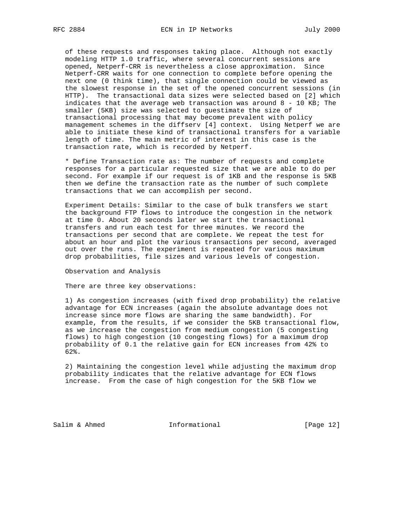of these requests and responses taking place. Although not exactly modeling HTTP 1.0 traffic, where several concurrent sessions are opened, Netperf-CRR is nevertheless a close approximation. Since Netperf-CRR waits for one connection to complete before opening the next one (0 think time), that single connection could be viewed as the slowest response in the set of the opened concurrent sessions (in HTTP). The transactional data sizes were selected based on [2] which indicates that the average web transaction was around 8 - 10 KB; The smaller (5KB) size was selected to guestimate the size of transactional processing that may become prevalent with policy management schemes in the diffserv [4] context. Using Netperf we are able to initiate these kind of transactional transfers for a variable length of time. The main metric of interest in this case is the transaction rate, which is recorded by Netperf.

 \* Define Transaction rate as: The number of requests and complete responses for a particular requested size that we are able to do per second. For example if our request is of 1KB and the response is 5KB then we define the transaction rate as the number of such complete transactions that we can accomplish per second.

 Experiment Details: Similar to the case of bulk transfers we start the background FTP flows to introduce the congestion in the network at time 0. About 20 seconds later we start the transactional transfers and run each test for three minutes. We record the transactions per second that are complete. We repeat the test for about an hour and plot the various transactions per second, averaged out over the runs. The experiment is repeated for various maximum drop probabilities, file sizes and various levels of congestion.

Observation and Analysis

There are three key observations:

 1) As congestion increases (with fixed drop probability) the relative advantage for ECN increases (again the absolute advantage does not increase since more flows are sharing the same bandwidth). For example, from the results, if we consider the 5KB transactional flow, as we increase the congestion from medium congestion (5 congesting flows) to high congestion (10 congesting flows) for a maximum drop probability of 0.1 the relative gain for ECN increases from 42% to 62%.

 2) Maintaining the congestion level while adjusting the maximum drop probability indicates that the relative advantage for ECN flows increase. From the case of high congestion for the 5KB flow we

Salim & Ahmed **Informational** [Page 12]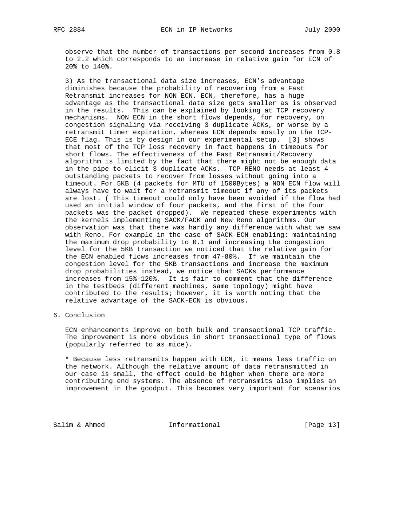observe that the number of transactions per second increases from 0.8 to 2.2 which corresponds to an increase in relative gain for ECN of 20% to 140%.

 3) As the transactional data size increases, ECN's advantage diminishes because the probability of recovering from a Fast Retransmit increases for NON ECN. ECN, therefore, has a huge advantage as the transactional data size gets smaller as is observed in the results. This can be explained by looking at TCP recovery mechanisms. NON ECN in the short flows depends, for recovery, on congestion signaling via receiving 3 duplicate ACKs, or worse by a retransmit timer expiration, whereas ECN depends mostly on the TCP- ECE flag. This is by design in our experimental setup. [3] shows that most of the TCP loss recovery in fact happens in timeouts for short flows. The effectiveness of the Fast Retransmit/Recovery algorithm is limited by the fact that there might not be enough data in the pipe to elicit 3 duplicate ACKs. TCP RENO needs at least 4 outstanding packets to recover from losses without going into a timeout. For 5KB (4 packets for MTU of 1500Bytes) a NON ECN flow will always have to wait for a retransmit timeout if any of its packets are lost. ( This timeout could only have been avoided if the flow had used an initial window of four packets, and the first of the four packets was the packet dropped). We repeated these experiments with the kernels implementing SACK/FACK and New Reno algorithms. Our observation was that there was hardly any difference with what we saw with Reno. For example in the case of SACK-ECN enabling: maintaining the maximum drop probability to 0.1 and increasing the congestion level for the 5KB transaction we noticed that the relative gain for the ECN enabled flows increases from 47-80%. If we maintain the congestion level for the 5KB transactions and increase the maximum drop probabilities instead, we notice that SACKs performance increases from 15%-120%. It is fair to comment that the difference in the testbeds (different machines, same topology) might have contributed to the results; however, it is worth noting that the relative advantage of the SACK-ECN is obvious.

6. Conclusion

 ECN enhancements improve on both bulk and transactional TCP traffic. The improvement is more obvious in short transactional type of flows (popularly referred to as mice).

 \* Because less retransmits happen with ECN, it means less traffic on the network. Although the relative amount of data retransmitted in our case is small, the effect could be higher when there are more contributing end systems. The absence of retransmits also implies an improvement in the goodput. This becomes very important for scenarios

Salim & Ahmed **Informational** [Page 13]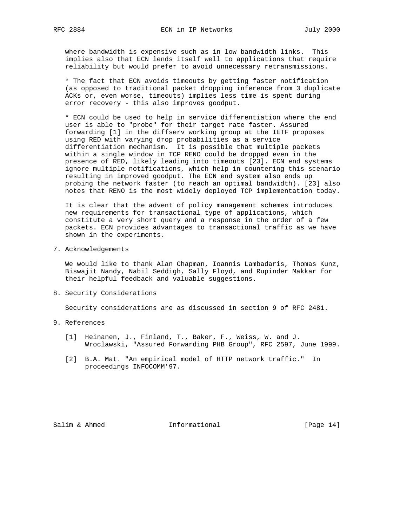where bandwidth is expensive such as in low bandwidth links. This implies also that ECN lends itself well to applications that require reliability but would prefer to avoid unnecessary retransmissions.

 \* The fact that ECN avoids timeouts by getting faster notification (as opposed to traditional packet dropping inference from 3 duplicate ACKs or, even worse, timeouts) implies less time is spent during error recovery - this also improves goodput.

 \* ECN could be used to help in service differentiation where the end user is able to "probe" for their target rate faster. Assured forwarding [1] in the diffserv working group at the IETF proposes using RED with varying drop probabilities as a service differentiation mechanism. It is possible that multiple packets within a single window in TCP RENO could be dropped even in the presence of RED, likely leading into timeouts [23]. ECN end systems ignore multiple notifications, which help in countering this scenario resulting in improved goodput. The ECN end system also ends up probing the network faster (to reach an optimal bandwidth). [23] also notes that RENO is the most widely deployed TCP implementation today.

 It is clear that the advent of policy management schemes introduces new requirements for transactional type of applications, which constitute a very short query and a response in the order of a few packets. ECN provides advantages to transactional traffic as we have shown in the experiments.

7. Acknowledgements

 We would like to thank Alan Chapman, Ioannis Lambadaris, Thomas Kunz, Biswajit Nandy, Nabil Seddigh, Sally Floyd, and Rupinder Makkar for their helpful feedback and valuable suggestions.

8. Security Considerations

Security considerations are as discussed in section 9 of RFC 2481.

- 9. References
	- [1] Heinanen, J., Finland, T., Baker, F., Weiss, W. and J. Wroclawski, "Assured Forwarding PHB Group", RFC 2597, June 1999.
	- [2] B.A. Mat. "An empirical model of HTTP network traffic." In proceedings INFOCOMM'97.

Salim & Ahmed **Informational** [Page 14]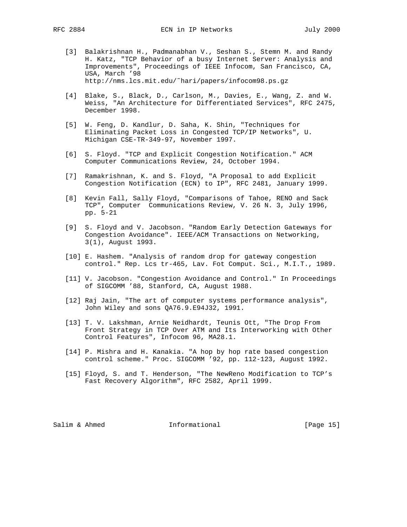- [3] Balakrishnan H., Padmanabhan V., Seshan S., Stemn M. and Randy H. Katz, "TCP Behavior of a busy Internet Server: Analysis and Improvements", Proceedings of IEEE Infocom, San Francisco, CA, USA, March '98 http://nms.lcs.mit.edu/˜hari/papers/infocom98.ps.gz
- [4] Blake, S., Black, D., Carlson, M., Davies, E., Wang, Z. and W. Weiss, "An Architecture for Differentiated Services", RFC 2475, December 1998.
- [5] W. Feng, D. Kandlur, D. Saha, K. Shin, "Techniques for Eliminating Packet Loss in Congested TCP/IP Networks", U. Michigan CSE-TR-349-97, November 1997.
- [6] S. Floyd. "TCP and Explicit Congestion Notification." ACM Computer Communications Review, 24, October 1994.
- [7] Ramakrishnan, K. and S. Floyd, "A Proposal to add Explicit Congestion Notification (ECN) to IP", RFC 2481, January 1999.
- [8] Kevin Fall, Sally Floyd, "Comparisons of Tahoe, RENO and Sack TCP", Computer Communications Review, V. 26 N. 3, July 1996, pp. 5-21
- [9] S. Floyd and V. Jacobson. "Random Early Detection Gateways for Congestion Avoidance". IEEE/ACM Transactions on Networking, 3(1), August 1993.
- [10] E. Hashem. "Analysis of random drop for gateway congestion control." Rep. Lcs tr-465, Lav. Fot Comput. Sci., M.I.T., 1989.
- [11] V. Jacobson. "Congestion Avoidance and Control." In Proceedings of SIGCOMM '88, Stanford, CA, August 1988.
- [12] Raj Jain, "The art of computer systems performance analysis", John Wiley and sons QA76.9.E94J32, 1991.
- [13] T. V. Lakshman, Arnie Neidhardt, Teunis Ott, "The Drop From Front Strategy in TCP Over ATM and Its Interworking with Other Control Features", Infocom 96, MA28.1.
- [14] P. Mishra and H. Kanakia. "A hop by hop rate based congestion control scheme." Proc. SIGCOMM '92, pp. 112-123, August 1992.
- [15] Floyd, S. and T. Henderson, "The NewReno Modification to TCP's Fast Recovery Algorithm", RFC 2582, April 1999.

Salim & Ahmed **Informational** [Page 15]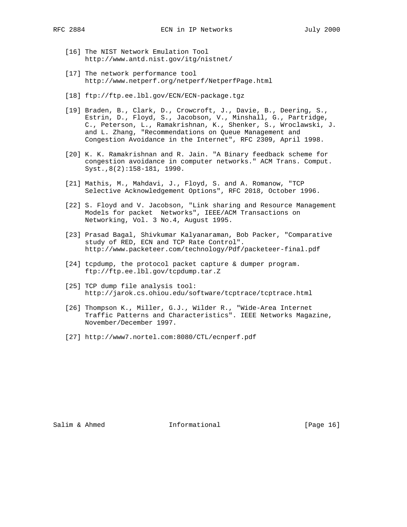- [16] The NIST Network Emulation Tool http://www.antd.nist.gov/itg/nistnet/
- [17] The network performance tool http://www.netperf.org/netperf/NetperfPage.html
- [18] ftp://ftp.ee.lbl.gov/ECN/ECN-package.tgz
- [19] Braden, B., Clark, D., Crowcroft, J., Davie, B., Deering, S., Estrin, D., Floyd, S., Jacobson, V., Minshall, G., Partridge, C., Peterson, L., Ramakrishnan, K., Shenker, S., Wroclawski, J. and L. Zhang, "Recommendations on Queue Management and Congestion Avoidance in the Internet", RFC 2309, April 1998.
- [20] K. K. Ramakrishnan and R. Jain. "A Binary feedback scheme for congestion avoidance in computer networks." ACM Trans. Comput. Syst.,8(2):158-181, 1990.
- [21] Mathis, M., Mahdavi, J., Floyd, S. and A. Romanow, "TCP Selective Acknowledgement Options", RFC 2018, October 1996.
- [22] S. Floyd and V. Jacobson, "Link sharing and Resource Management Models for packet Networks", IEEE/ACM Transactions on Networking, Vol. 3 No.4, August 1995.
- [23] Prasad Bagal, Shivkumar Kalyanaraman, Bob Packer, "Comparative study of RED, ECN and TCP Rate Control". http://www.packeteer.com/technology/Pdf/packeteer-final.pdf
- [24] tcpdump, the protocol packet capture & dumper program. ftp://ftp.ee.lbl.gov/tcpdump.tar.Z
- [25] TCP dump file analysis tool: http://jarok.cs.ohiou.edu/software/tcptrace/tcptrace.html
- [26] Thompson K., Miller, G.J., Wilder R., "Wide-Area Internet Traffic Patterns and Characteristics". IEEE Networks Magazine, November/December 1997.
- [27] http://www7.nortel.com:8080/CTL/ecnperf.pdf

Salim & Ahmed **Informational** [Page 16]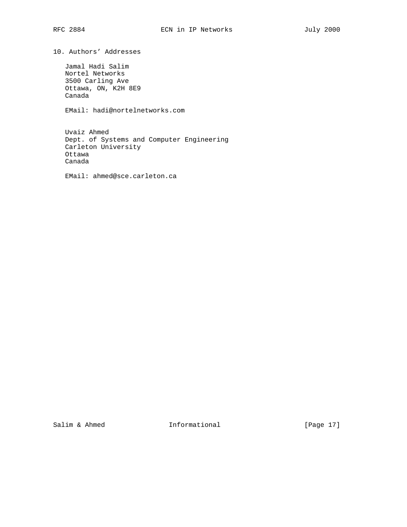10. Authors' Addresses

 Jamal Hadi Salim Nortel Networks 3500 Carling Ave Ottawa, ON, K2H 8E9 Canada

EMail: hadi@nortelnetworks.com

 Uvaiz Ahmed Dept. of Systems and Computer Engineering Carleton University Ottawa Canada

EMail: ahmed@sce.carleton.ca

Salim & Ahmed **Informational** [Page 17]